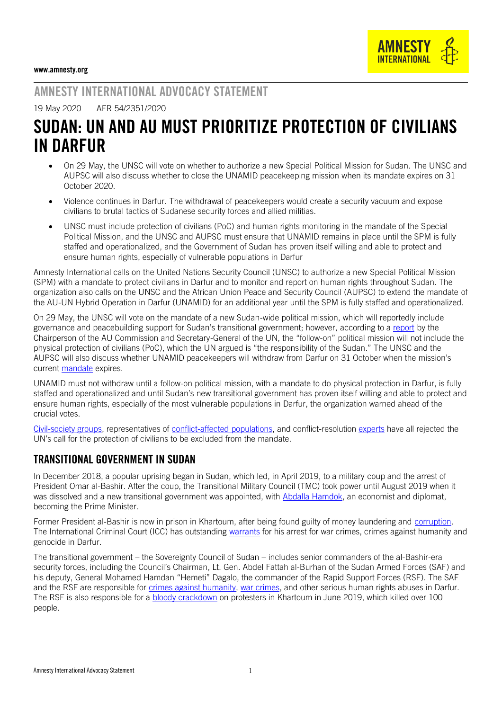

## AMNESTY INTERNATIONAL ADVOCACY STATEMENT

#### 19 May 2020 AFR 54/2351/2020

# SUDAN: UN AND AU MUST PRIORITIZE PROTECTION OF CIVILIANS IN DARFUR

- On 29 May, the UNSC will vote on whether to authorize a new Special Political Mission for Sudan. The UNSC and AUPSC will also discuss whether to close the UNAMID peacekeeping mission when its mandate expires on 31 October 2020.
- Violence continues in Darfur. The withdrawal of peacekeepers would create a security vacuum and expose civilians to brutal tactics of Sudanese security forces and allied militias.
- UNSC must include protection of civilians (PoC) and human rights monitoring in the mandate of the Special Political Mission, and the UNSC and AUPSC must ensure that UNAMID remains in place until the SPM is fully staffed and operationalized, and the Government of Sudan has proven itself willing and able to protect and ensure human rights, especially of vulnerable populations in Darfur

Amnesty International calls on the United Nations Security Council (UNSC) to authorize a new Special Political Mission (SPM) with a mandate to protect civilians in Darfur and to monitor and report on human rights throughout Sudan. The organization also calls on the UNSC and the African Union Peace and Security Council (AUPSC) to extend the mandate of the AU-UN Hybrid Operation in Darfur (UNAMID) for an additional year until the SPM is fully staffed and operationalized.

On 29 May, the UNSC will vote on the mandate of a new Sudan-wide political mission, which will reportedly include governance and peacebuilding support for Sudan's transitional government; however, according to a [report](https://undocs.org/en/S/2020/202) by the Chairperson of the AU Commission and Secretary-General of the UN, the "follow-on" political mission will not include the physical protection of civilians (PoC), which the UN argued is "the responsibility of the Sudan." The UNSC and the AUPSC will also discuss whether UNAMID peacekeepers will withdraw from Darfur on 31 October when the mission's current [mandate](https://undocs.org/S/RES/2495(2019)) expires.

UNAMID must not withdraw until a follow-on political mission, with a mandate to do physical protection in Darfur, is fully staffed and operationalized and until Sudan's new transitional government has proven itself willing and able to protect and ensure human rights, especially of the most vulnerable populations in Darfur, the organization warned ahead of the crucial votes.

[Civil-society groups,](https://www.sudantribune.com/spip.php?article69306) representatives of [conflict-affected populations,](https://www.sudanakhbar.com/738774) and conflict-resolution [experts](https://theglobalobservatory.org/2020/04/protecting-civilians-after-unamid-options-for-a-follow-on-mission-in-sudan/) have all rejected the UN's call for the protection of civilians to be excluded from the mandate.

#### TRANSITIONAL GOVERNMENT IN SUDAN

In December 2018, a popular uprising began in Sudan, which led, in April 2019, to a military coup and the arrest of President Omar al-Bashir. After the coup, the Transitional Military Council (TMC) took power until August 2019 when it was dissolved and a new transitional government was appointed, with [Abdalla Hamdok,](https://www.aljazeera.com/news/2019/08/abdalla-hamdok-sudan-prime-minister-190821104935717.html) an economist and diplomat, becoming the Prime Minister.

Former President al-Bashir is now in prison in Khartoum, after being found guilty of money laundering and [corruption.](https://www.washingtonpost.com/world/africa/former-sudanese-ruler-oma) The International Criminal Court (ICC) has outstanding [warrants](https://www.icc-cpi.int/darfur/albashir) for his arrest for war crimes, crimes against humanity and genocide in Darfur.

The transitional government – the Sovereignty Council of Sudan – includes senior commanders of the al-Bashir-era security forces, including the Council's Chairman, Lt. Gen. Abdel Fattah al-Burhan of the Sudan Armed Forces (SAF) and his deputy, General Mohamed Hamdan "Hemeti" Dagalo, the commander of the Rapid Support Forces (RSF). The SAF and the RSF are responsible for [crimes against humanity,](https://www.amnesty.org/en/documents/afr54/4877/2016/en/) [war crimes,](https://www.hrw.org/sites/default/files/report_pdf/sudan0915_insert_lowres_with_cover.pdf) and other serious human rights abuses in Darfur. The RSF is also responsible for a [bloody crackdown](https://www.hrw.org/report/2019/11/17/they-were-shouting-kill-them/sudans-violent-crackdown-protesters-khartoum,%20https:/www.amnesty.org/en/documents/afr54/1893/2020/en/) on protesters in Khartoum in June 2019, which killed over 100 people.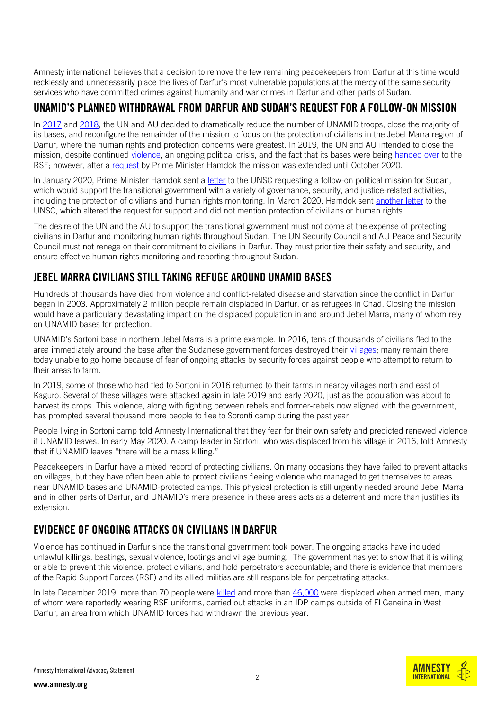Amnesty international believes that a decision to remove the few remaining peacekeepers from Darfur at this time would recklessly and unnecessarily place the lives of Darfur's most vulnerable populations at the mercy of the same security services who have committed crimes against humanity and war crimes in Darfur and other parts of Sudan.

### UNAMID'S PLANNED WITHDRAWAL FROM DARFUR AND SUDAN'S REQUEST FOR A FOLLOW-ON MISSION

In [2017](https://eur02.safelinks.protection.outlook.com/?url=https%3A%2F%2Fundocs.org%2FS%2FRES%2F2363(2017)&data=02%7C01%7Cconor.fortune%40amnesty.org%7C66944c63ce9c415239d408d6ee3e9769%7Cc2dbf829378d44c1b47a1c043924ddf3%7C0%7C0%7C636958349929265487&sdata=4jTpSM%2BCs2uTSTUc0st32R4wqdCzsApXrnhAMTLXbjY%3D&reserved=0) and [2018,](https://eur02.safelinks.protection.outlook.com/?url=https%3A%2F%2Fundocs.org%2FS%2FRES%2F2429(2018)&data=02%7C01%7Cconor.fortune%40amnesty.org%7C66944c63ce9c415239d408d6ee3e9769%7Cc2dbf829378d44c1b47a1c043924ddf3%7C0%7C0%7C636958349929275479&sdata=QibhD0NV9rj0MaH1hX9pAqkWFyzXBeMFb3oBhYrMBoA%3D&reserved=0) the UN and AU decided to dramatically reduce the number of UNAMID troops, close the majority of its bases, and reconfigure the remainder of the mission to focus on the protection of civilians in the Jebel Marra region of Darfur, where the human rights and protection concerns were greatest. In 2019, the UN and AU intended to close the mission, despite continued [violence,](https://www.amnesty.org/en/latest/news/2019/06/sudan-fresh-evidence-of-government-sponsored-crimes-in-darfur-shows-drawdown-of-peacekeepers-premature-and-reckless/) an ongoing political crisis, and the fact that its bases were being [handed over](https://foreignpolicy.com/2019/06/07/document-of-the-week-sudans-paramilitaries-are-seizing-abandoned-u-n-outposts-in-darfur/) to the RSF; however, after a [request](https://www.whatsinblue.org/2019/10/un-au-hybrid-operation-in-darfur-unamid-mandate-renewal-3.php) by Prime Minister Hamdok the mission was extended until October 2020.

In January 2020, Prime Minister Hamdok sent a [letter](https://undocs.org/s/2020/77) to the UNSC requesting a follow-on political mission for Sudan, which would support the transitional government with a variety of governance, security, and justice-related activities, including the protection of civilians and human rights monitoring. In March 2020, Hamdok sent [another letter](https://www.securitycouncilreport.org/atf/cf/%7B65BFCF9B-6D27-4E9C-8CD3-CF6E4FF96FF9%7D/S_2020_221.pdf) to the UNSC, which altered the request for support and did not mention protection of civilians or human rights.

The desire of the UN and the AU to support the transitional government must not come at the expense of protecting civilians in Darfur and monitoring human rights throughout Sudan. The UN Security Council and AU Peace and Security Council must not renege on their commitment to civilians in Darfur. They must prioritize their safety and security, and ensure effective human rights monitoring and reporting throughout Sudan.

## JEBEL MARRA CIVILIANS STILL TAKING REFUGE AROUND UNAMID BASES

Hundreds of thousands have died from violence and conflict-related disease and starvation since the conflict in Darfur began in 2003. Approximately 2 million people remain displaced in Darfur, or as refugees in Chad. Closing the mission would have a particularly devastating impact on the displaced population in and around Jebel Marra, many of whom rely on UNAMID bases for protection.

UNAMID's Sortoni base in northern Jebel Marra is a prime example. In 2016, tens of thousands of civilians fled to the area immediately around the base after the Sudanese government forces destroyed their [villages;](https://eur02.safelinks.protection.outlook.com/?url=https%3A%2F%2Fwww.amnestyusa.org%2Ffiles%2Fjebel_marra_report_c2.pdf&data=02%7C01%7Cconor.fortune%40amnesty.org%7C66944c63ce9c415239d408d6ee3e9769%7Cc2dbf829378d44c1b47a1c043924ddf3%7C0%7C0%7C636958349929295466&sdata=EY56XGCQD2MmB8ewOCs0TvI%2FWmw%2BL2ZrjdkpkKwF3IA%3D&reserved=0) many remain there today unable to go home because of fear of ongoing attacks by security forces against people who attempt to return to their areas to farm.

In 2019, some of those who had fled to Sortoni in 2016 returned to their farms in nearby villages north and east of Kaguro. Several of these villages were attacked again in late 2019 and early 2020, just as the population was about to harvest its crops. This violence, along with fighting between rebels and former-rebels now aligned with the government, has prompted several thousand more people to flee to Soronti camp during the past year.

People living in Sortoni camp told Amnesty International that they fear for their own safety and predicted renewed violence if UNAMID leaves. In early May 2020, A camp leader in Sortoni, who was displaced from his village in 2016, told Amnesty that if UNAMID leaves "there will be a mass killing."

Peacekeepers in Darfur have a mixed record of protecting civilians. On many occasions they have failed to prevent attacks on villages, but they have often been able to protect civilians fleeing violence who managed to get themselves to areas near UNAMID bases and UNAMID-protected camps. This physical protection is still urgently needed around Jebel Marra and in other parts of Darfur, and UNAMID's mere presence in these areas acts as a deterrent and more than justifies its extension.

## EVIDENCE OF ONGOING ATTACKS ON CIVILIANS IN DARFUR

Violence has continued in Darfur since the transitional government took power. The ongoing attacks have included unlawful killings, beatings, sexual violence, lootings and village burning. The government has yet to show that it is willing or able to prevent this violence, protect civilians, and hold perpetrators accountable; and there is evidence that members of the Rapid Support Forces (RSF) and its allied militias are still responsible for perpetrating attacks.

In late December 2019, more than 70 people were [killed](http://www.acjps.org/west-darfur-investigation-into-krinding-camp-massacre-is-urgently-needed/) and more than [46,000](https://dtm.iom.int/reports/sudan-%E2%80%94-emergency-event-tracking-report-el-geneina-1) were displaced when armed men, many of whom were reportedly wearing RSF uniforms, carried out attacks in an IDP camps outside of El Geneina in West Darfur, an area from which UNAMID forces had withdrawn the previous year.